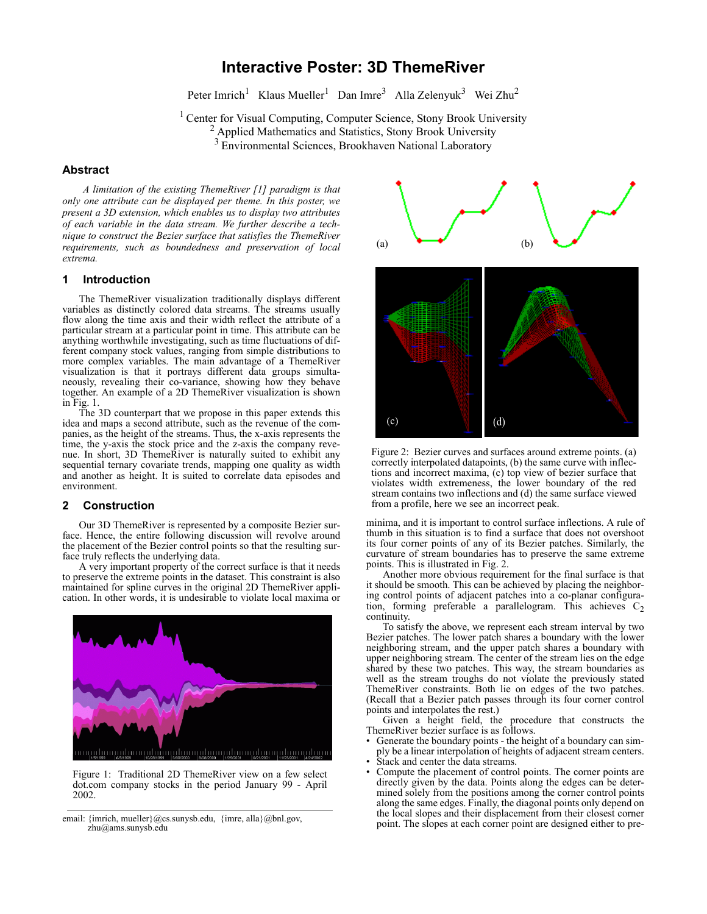# **Interactive Poster: 3D ThemeRiver**

Peter Imrich<sup>1</sup> Klaus Mueller<sup>1</sup> Dan Imre<sup>3</sup> Alla Zelenyuk<sup>3</sup> Wei Zhu<sup>2</sup>

<sup>1</sup> Center for Visual Computing, Computer Science, Stony Brook University

<sup>2</sup> Applied Mathematics and Statistics, Stony Brook University

<sup>3</sup> Environmental Sciences, Brookhaven National Laboratory

### **Abstract**

*A limitation of the existing ThemeRiver [1] paradigm is that only one attribute can be displayed per theme. In this poster, we present a 3D extension, which enables us to display two attributes of each variable in the data stream. We further describe a technique to construct the Bezier surface that satisfies the ThemeRiver requirements, such as boundedness and preservation of local extrema.*

#### **1 Introduction**

The ThemeRiver visualization traditionally displays different variables as distinctly colored data streams. The streams usually flow along the time axis and their width reflect the attribute of a particular stream at a particular point in time. This attribute can be anything worthwhile investigating, such as time fluctuations of different company stock values, ranging from simple distributions to more complex variables. The main advantage of a ThemeRiver visualization is that it portrays different data groups simultaneously, revealing their co-variance, showing how they behave together. An example of a 2D ThemeRiver visualization is shown in Fig. 1.

The 3D counterpart that we propose in this paper extends this idea and maps a second attribute, such as the revenue of the companies, as the height of the streams. Thus, the x-axis represents the time, the y-axis the stock price and the z-axis the company revenue. In short, 3D ThemeRiver is naturally suited to exhibit any sequential ternary covariate trends, mapping one quality as width and another as height. It is suited to correlate data episodes and environment.

### **2 Construction**

Our 3D ThemeRiver is represented by a composite Bezier surface. Hence, the entire following discussion will revolve around the placement of the Bezier control points so that the resulting surface truly reflects the underlying data.

A very important property of the correct surface is that it needs to preserve the extreme points in the dataset. This constraint is also maintained for spline curves in the original 2D ThemeRiver application. In other words, it is undesirable to violate local maxima or



Figure 1: Traditional 2D ThemeRiver view on a few select dot.com company stocks in the period January 99 - April 2002.

email: {imrich, mueller}@cs.sunysb.edu, {imre, alla}@bnl.gov, zhu@ams.sunysb.edu



Figure 2: Bezier curves and surfaces around extreme points. (a) correctly interpolated datapoints, (b) the same curve with inflections and incorrect maxima, (c) top view of bezier surface that violates width extremeness, the lower boundary of the red stream contains two inflections and (d) the same surface viewed from a profile, here we see an incorrect peak.

minima, and it is important to control surface inflections. A rule of thumb in this situation is to find a surface that does not overshoot its four corner points of any of its Bezier patches. Similarly, the curvature of stream boundaries has to preserve the same extreme points. This is illustrated in Fig. 2.

Another more obvious requirement for the final surface is that it should be smooth. This can be achieved by placing the neighboring control points of adjacent patches into a co-planar configuration, forming preferable a parallelogram. This achieves  $C_2$ continuity.

To satisfy the above, we represent each stream interval by two Bezier patches. The lower patch shares a boundary with the lower neighboring stream, and the upper patch shares a boundary with upper neighboring stream. The center of the stream lies on the edge shared by these two patches. This way, the stream boundaries as well as the stream troughs do not violate the previously stated ThemeRiver constraints. Both lie on edges of the two patches. (Recall that a Bezier patch passes through its four corner control points and interpolates the rest.)

Given a height field, the procedure that constructs the ThemeRiver bezier surface is as follows.

- Generate the boundary points the height of a boundary can simply be a linear interpolation of heights of adjacent stream centers. Stack and center the data streams.
- 
- Compute the placement of control points. The corner points are directly given by the data. Points along the edges can be determined solely from the positions among the corner control points along the same edges. Finally, the diagonal points only depend on the local slopes and their displacement from their closest corner point. The slopes at each corner point are designed either to pre-